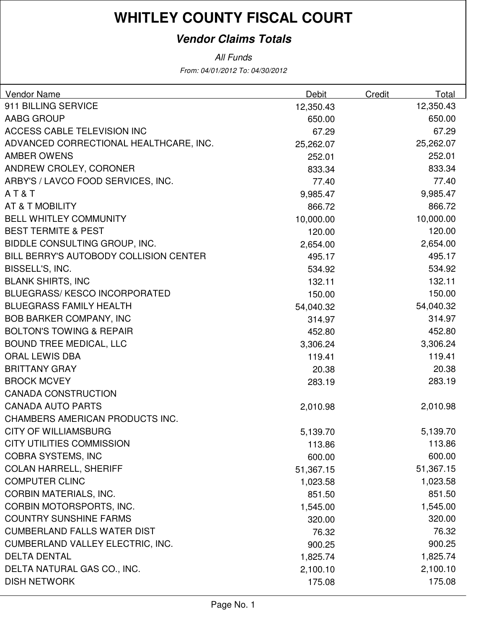### **Vendor Claims Totals**

From: 04/01/2012 To: 04/30/2012 All Funds

| <b>Vendor Name</b>                     | Debit     | Credit | Total     |
|----------------------------------------|-----------|--------|-----------|
| 911 BILLING SERVICE                    | 12,350.43 |        | 12,350.43 |
| AABG GROUP                             | 650.00    |        | 650.00    |
| ACCESS CABLE TELEVISION INC            | 67.29     |        | 67.29     |
| ADVANCED CORRECTIONAL HEALTHCARE, INC. | 25,262.07 |        | 25,262.07 |
| <b>AMBER OWENS</b>                     | 252.01    |        | 252.01    |
| ANDREW CROLEY, CORONER                 | 833.34    |        | 833.34    |
| ARBY'S / LAVCO FOOD SERVICES, INC.     | 77.40     |        | 77.40     |
| AT&T                                   | 9,985.47  |        | 9,985.47  |
| AT & T MOBILITY                        | 866.72    |        | 866.72    |
| <b>BELL WHITLEY COMMUNITY</b>          | 10,000.00 |        | 10,000.00 |
| <b>BEST TERMITE &amp; PEST</b>         | 120.00    |        | 120.00    |
| BIDDLE CONSULTING GROUP, INC.          | 2,654.00  |        | 2,654.00  |
| BILL BERRY'S AUTOBODY COLLISION CENTER | 495.17    |        | 495.17    |
| BISSELL'S, INC.                        | 534.92    |        | 534.92    |
| <b>BLANK SHIRTS, INC</b>               | 132.11    |        | 132.11    |
| <b>BLUEGRASS/ KESCO INCORPORATED</b>   | 150.00    |        | 150.00    |
| <b>BLUEGRASS FAMILY HEALTH</b>         | 54,040.32 |        | 54,040.32 |
| <b>BOB BARKER COMPANY, INC</b>         | 314.97    |        | 314.97    |
| <b>BOLTON'S TOWING &amp; REPAIR</b>    | 452.80    |        | 452.80    |
| <b>BOUND TREE MEDICAL, LLC</b>         | 3,306.24  |        | 3,306.24  |
| <b>ORAL LEWIS DBA</b>                  | 119.41    |        | 119.41    |
| <b>BRITTANY GRAY</b>                   | 20.38     |        | 20.38     |
| <b>BROCK MCVEY</b>                     | 283.19    |        | 283.19    |
| <b>CANADA CONSTRUCTION</b>             |           |        |           |
| <b>CANADA AUTO PARTS</b>               | 2,010.98  |        | 2,010.98  |
| CHAMBERS AMERICAN PRODUCTS INC.        |           |        |           |
| <b>CITY OF WILLIAMSBURG</b>            | 5,139.70  |        | 5,139.70  |
| <b>CITY UTILITIES COMMISSION</b>       | 113.86    |        | 113.86    |
| <b>COBRA SYSTEMS, INC</b>              | 600.00    |        | 600.00    |
| <b>COLAN HARRELL, SHERIFF</b>          | 51,367.15 |        | 51,367.15 |
| <b>COMPUTER CLINC</b>                  | 1,023.58  |        | 1,023.58  |
| <b>CORBIN MATERIALS, INC.</b>          | 851.50    |        | 851.50    |
| CORBIN MOTORSPORTS, INC.               | 1,545.00  |        | 1,545.00  |
| <b>COUNTRY SUNSHINE FARMS</b>          | 320.00    |        | 320.00    |
| <b>CUMBERLAND FALLS WATER DIST</b>     | 76.32     |        | 76.32     |
| CUMBERLAND VALLEY ELECTRIC, INC.       | 900.25    |        | 900.25    |
| <b>DELTA DENTAL</b>                    | 1,825.74  |        | 1,825.74  |
| DELTA NATURAL GAS CO., INC.            | 2,100.10  |        | 2,100.10  |
| <b>DISH NETWORK</b>                    | 175.08    |        | 175.08    |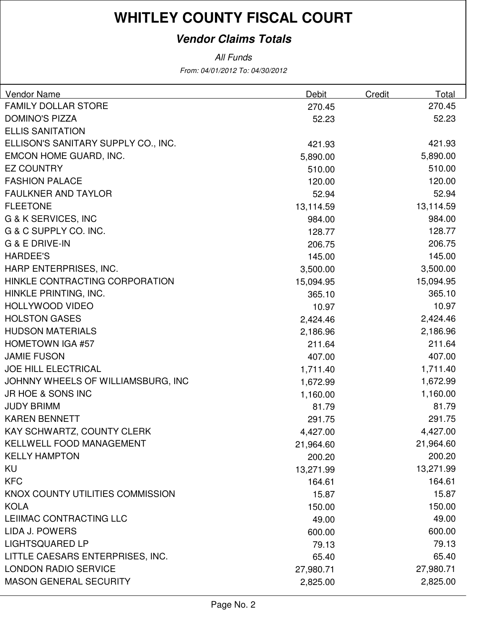### **Vendor Claims Totals**

From: 04/01/2012 To: 04/30/2012 All Funds

| Vendor Name                         | Debit     | Credit | Total     |
|-------------------------------------|-----------|--------|-----------|
| <b>FAMILY DOLLAR STORE</b>          | 270.45    |        | 270.45    |
| <b>DOMINO'S PIZZA</b>               | 52.23     |        | 52.23     |
| <b>ELLIS SANITATION</b>             |           |        |           |
| ELLISON'S SANITARY SUPPLY CO., INC. | 421.93    |        | 421.93    |
| EMCON HOME GUARD, INC.              | 5,890.00  |        | 5,890.00  |
| <b>EZ COUNTRY</b>                   | 510.00    |        | 510.00    |
| <b>FASHION PALACE</b>               | 120.00    |        | 120.00    |
| <b>FAULKNER AND TAYLOR</b>          | 52.94     |        | 52.94     |
| <b>FLEETONE</b>                     | 13,114.59 |        | 13,114.59 |
| G & K SERVICES, INC                 | 984.00    |        | 984.00    |
| G & C SUPPLY CO. INC.               | 128.77    |        | 128.77    |
| G & E DRIVE-IN                      | 206.75    |        | 206.75    |
| <b>HARDEE'S</b>                     | 145.00    |        | 145.00    |
| HARP ENTERPRISES, INC.              | 3,500.00  |        | 3,500.00  |
| HINKLE CONTRACTING CORPORATION      | 15,094.95 |        | 15,094.95 |
| HINKLE PRINTING, INC.               | 365.10    |        | 365.10    |
| <b>HOLLYWOOD VIDEO</b>              | 10.97     |        | 10.97     |
| <b>HOLSTON GASES</b>                | 2,424.46  |        | 2,424.46  |
| <b>HUDSON MATERIALS</b>             | 2,186.96  |        | 2,186.96  |
| <b>HOMETOWN IGA #57</b>             | 211.64    |        | 211.64    |
| <b>JAMIE FUSON</b>                  | 407.00    |        | 407.00    |
| <b>JOE HILL ELECTRICAL</b>          | 1,711.40  |        | 1,711.40  |
| JOHNNY WHEELS OF WILLIAMSBURG, INC  | 1,672.99  |        | 1,672.99  |
| <b>JR HOE &amp; SONS INC</b>        | 1,160.00  |        | 1,160.00  |
| <b>JUDY BRIMM</b>                   | 81.79     |        | 81.79     |
| <b>KAREN BENNETT</b>                | 291.75    |        | 291.75    |
| KAY SCHWARTZ, COUNTY CLERK          | 4,427.00  |        | 4,427.00  |
| <b>KELLWELL FOOD MANAGEMENT</b>     | 21,964.60 |        | 21,964.60 |
| <b>KELLY HAMPTON</b>                | 200.20    |        | 200.20    |
| KU                                  | 13,271.99 |        | 13,271.99 |
| <b>KFC</b>                          | 164.61    |        | 164.61    |
| KNOX COUNTY UTILITIES COMMISSION    | 15.87     |        | 15.87     |
| <b>KOLA</b>                         | 150.00    |        | 150.00    |
| LEIIMAC CONTRACTING LLC             | 49.00     |        | 49.00     |
| LIDA J. POWERS                      | 600.00    |        | 600.00    |
| <b>LIGHTSQUARED LP</b>              | 79.13     |        | 79.13     |
| LITTLE CAESARS ENTERPRISES, INC.    | 65.40     |        | 65.40     |
| <b>LONDON RADIO SERVICE</b>         | 27,980.71 |        | 27,980.71 |
| <b>MASON GENERAL SECURITY</b>       | 2,825.00  |        | 2,825.00  |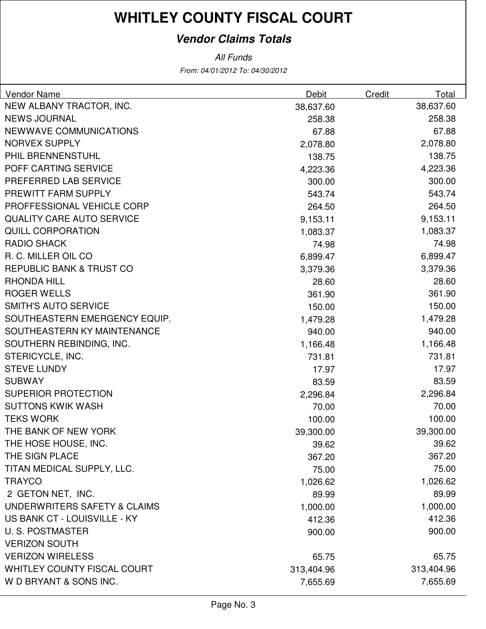### **Vendor Claims Totals**

From: 04/01/2012 To: 04/30/2012 All Funds

| <b>Vendor Name</b>                 | <b>Debit</b> | Credit | Total      |
|------------------------------------|--------------|--------|------------|
| NEW ALBANY TRACTOR, INC.           | 38,637.60    |        | 38,637.60  |
| <b>NEWS JOURNAL</b>                | 258.38       |        | 258.38     |
| NEWWAVE COMMUNICATIONS             | 67.88        |        | 67.88      |
| <b>NORVEX SUPPLY</b>               | 2,078.80     |        | 2,078.80   |
| PHIL BRENNENSTUHL                  | 138.75       |        | 138.75     |
| POFF CARTING SERVICE               | 4,223.36     |        | 4,223.36   |
| PREFERRED LAB SERVICE              | 300.00       |        | 300.00     |
| PREWITT FARM SUPPLY                | 543.74       |        | 543.74     |
| PROFFESSIONAL VEHICLE CORP         | 264.50       |        | 264.50     |
| <b>QUALITY CARE AUTO SERVICE</b>   | 9,153.11     |        | 9,153.11   |
| <b>QUILL CORPORATION</b>           | 1,083.37     |        | 1,083.37   |
| <b>RADIO SHACK</b>                 | 74.98        |        | 74.98      |
| R. C. MILLER OIL CO                | 6,899.47     |        | 6,899.47   |
| REPUBLIC BANK & TRUST CO           | 3,379.36     |        | 3,379.36   |
| <b>RHONDA HILL</b>                 | 28.60        |        | 28.60      |
| <b>ROGER WELLS</b>                 | 361.90       |        | 361.90     |
| <b>SMITH'S AUTO SERVICE</b>        | 150.00       |        | 150.00     |
| SOUTHEASTERN EMERGENCY EQUIP.      | 1,479.28     |        | 1,479.28   |
| SOUTHEASTERN KY MAINTENANCE        | 940.00       |        | 940.00     |
| SOUTHERN REBINDING, INC.           | 1,166.48     |        | 1,166.48   |
| STERICYCLE, INC.                   | 731.81       |        | 731.81     |
| <b>STEVE LUNDY</b>                 | 17.97        |        | 17.97      |
| <b>SUBWAY</b>                      | 83.59        |        | 83.59      |
| <b>SUPERIOR PROTECTION</b>         | 2,296.84     |        | 2,296.84   |
| <b>SUTTONS KWIK WASH</b>           | 70.00        |        | 70.00      |
| <b>TEKS WORK</b>                   | 100.00       |        | 100.00     |
| THE BANK OF NEW YORK               | 39,300.00    |        | 39,300.00  |
| THE HOSE HOUSE, INC.               | 39.62        |        | 39.62      |
| THE SIGN PLACE                     | 367.20       |        | 367.20     |
| TITAN MEDICAL SUPPLY, LLC.         | 75.00        |        | 75.00      |
| <b>TRAYCO</b>                      | 1,026.62     |        | 1,026.62   |
| 2 GETON NET, INC.                  | 89.99        |        | 89.99      |
| UNDERWRITERS SAFETY & CLAIMS       | 1,000.00     |        | 1,000.00   |
| US BANK CT - LOUISVILLE - KY       | 412.36       |        | 412.36     |
| <b>U.S. POSTMASTER</b>             | 900.00       |        | 900.00     |
| <b>VERIZON SOUTH</b>               |              |        |            |
| <b>VERIZON WIRELESS</b>            | 65.75        |        | 65.75      |
| <b>WHITLEY COUNTY FISCAL COURT</b> | 313,404.96   |        | 313,404.96 |
| W D BRYANT & SONS INC.             | 7,655.69     |        | 7,655.69   |